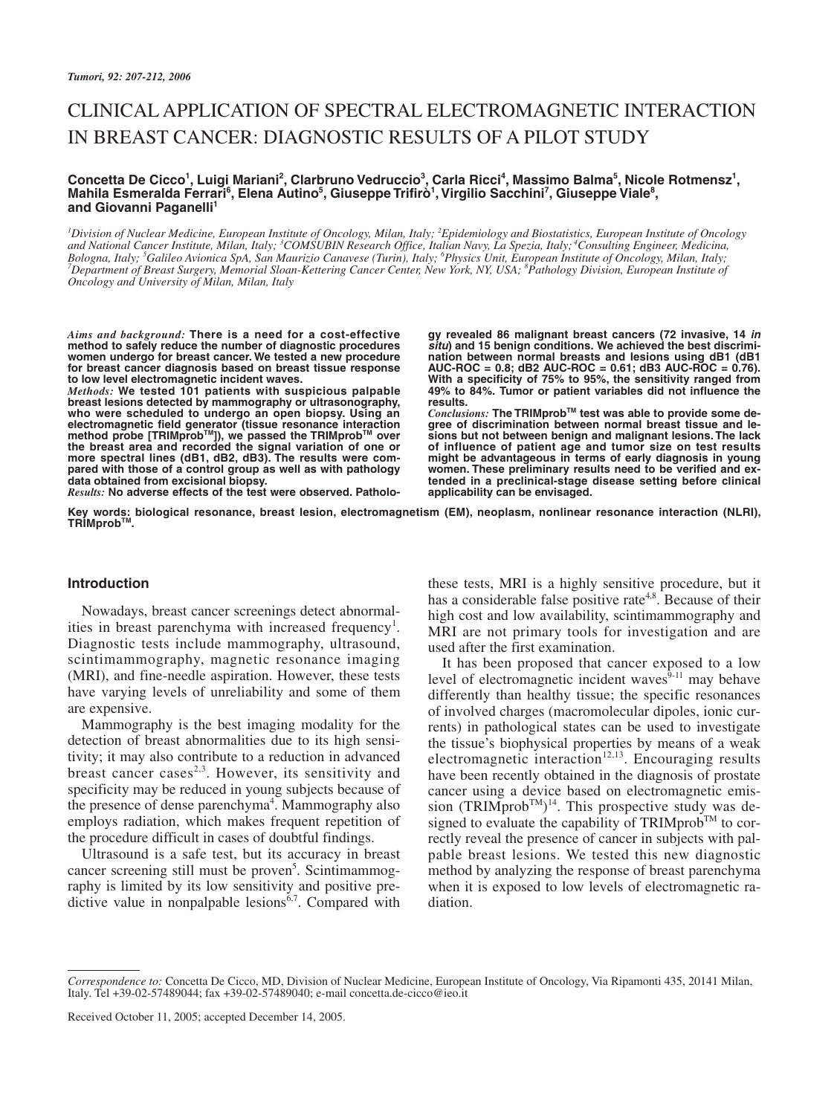# CLINICAL APPLICATION OF SPECTRAL ELECTROMAGNETIC INTERACTION IN BREAST CANCER: DIAGNOSTIC RESULTS OF A PILOT STUDY

#### $\bf{Concetta De Cicco<sup>1</sup>, Luigi Mariani<sup>2</sup>, Clarbruno Vedruccio<sup>3</sup>, Carla Ricci<sup>4</sup>, Massimo Balma<sup>5</sup>, Nicole Rotmensz<sup>1</sup>,$ Mahila Esmeralda Ferrari<sup>6</sup>, Elena Autino<sup>5</sup>, Giuseppe Trifirò<sup>1</sup>, Virgilio Sacchini<sup>7</sup>, Giuseppe Viale<sup>8</sup>, and Giovanni Paganelli<sup>1</sup>

*1 Division of Nuclear Medicine, European Institute of Oncology, Milan, Italy; 2 Epidemiology and Biostatistics, European Institute of Oncology and National Cancer Institute, Milan, Italy; 3 COMSUBIN Research Office, Italian Navy, La Spezia, Italy; <sup>4</sup> Consulting Engineer, Medicina, Bologna, Italy; 5 Galileo Avionica SpA, San Maurizio Canavese (Turin), Italy; 6 Physics Unit, European Institute of Oncology, Milan, Italy; <sup>7</sup> Department of Breast Surgery, Memorial Sloan-Kettering Cancer Center, New York, NY, USA; 8 Pathology Division, European Institute of Oncology and University of Milan, Milan, Italy*

*Aims and background:* **There is a need for a cost-effective method to safely reduce the number of diagnostic procedures women undergo for breast cancer. We tested a new procedure for breast cancer diagnosis based on breast tissue response to low level electromagnetic incident waves.**

*Methods:* **We tested 101 patients with suspicious palpable breast lesions detected by mammography or ultrasonography, who were scheduled to undergo an open biopsy. Using an electromagnetic field generator (tissue resonance interaction method probe [TRIMprobTM]), we passed the TRIMprobTM over the breast area and recorded the signal variation of one or more spectral lines (dB1, dB2, dB3). The results were compared with those of a control group as well as with pathology data obtained from excisional biopsy.**

*Results:* **No adverse effects of the test were observed. Patholo-**

**gy revealed 86 malignant breast cancers (72 invasive, 14 in situ) and 15 benign conditions. We achieved the best discrimination between normal breasts and lesions using dB1 (dB1 AUC-ROC = 0.8; dB2 AUC-ROC = 0.61; dB3 AUC-ROC = 0.76). With a specificity of 75% to 95%, the sensitivity ranged from 49% to 84%. Tumor or patient variables did not influence the results.**

*Conclusions:* **The TRIMprobTM test was able to provide some degree of discrimination between normal breast tissue and lesions but not between benign and malignant lesions. The lack of influence of patient age and tumor size on test results might be advantageous in terms of early diagnosis in young women. These preliminary results need to be verified and extended in a preclinical-stage disease setting before clinical applicability can be envisaged.**

**Key words: biological resonance, breast lesion, electromagnetism (EM), neoplasm, nonlinear resonance interaction (NLRI), TRIMprobTM.**

# **Introduction**

Nowadays, breast cancer screenings detect abnormalities in breast parenchyma with increased frequency<sup>1</sup>. Diagnostic tests include mammography, ultrasound, scintimammography, magnetic resonance imaging (MRI), and fine-needle aspiration. However, these tests have varying levels of unreliability and some of them are expensive.

Mammography is the best imaging modality for the detection of breast abnormalities due to its high sensitivity; it may also contribute to a reduction in advanced breast cancer cases<sup>2,3</sup>. However, its sensitivity and specificity may be reduced in young subjects because of the presence of dense parenchyma<sup>4</sup>. Mammography also employs radiation, which makes frequent repetition of the procedure difficult in cases of doubtful findings.

Ultrasound is a safe test, but its accuracy in breast cancer screening still must be proven<sup>5</sup>. Scintimammography is limited by its low sensitivity and positive predictive value in nonpalpable lesions  $6,7$ . Compared with

these tests, MRI is a highly sensitive procedure, but it has a considerable false positive rate<sup> $4,8$ </sup>. Because of their high cost and low availability, scintimammography and MRI are not primary tools for investigation and are used after the first examination.

It has been proposed that cancer exposed to a low level of electromagnetic incident waves<sup>9-11</sup> may behave differently than healthy tissue; the specific resonances of involved charges (macromolecular dipoles, ionic currents) in pathological states can be used to investigate the tissue's biophysical properties by means of a weak electromagnetic interaction<sup>12,13</sup>. Encouraging results have been recently obtained in the diagnosis of prostate cancer using a device based on electromagnetic emission (TRIMprob<sup>TM</sup>)<sup>14</sup>. This prospective study was designed to evaluate the capability of TRIMprob<sup>TM</sup> to correctly reveal the presence of cancer in subjects with palpable breast lesions. We tested this new diagnostic method by analyzing the response of breast parenchyma when it is exposed to low levels of electromagnetic radiation.

Received October 11, 2005; accepted December 14, 2005.

*Correspondence to:* Concetta De Cicco, MD, Division of Nuclear Medicine, European Institute of Oncology, Via Ripamonti 435, 20141 Milan, Italy. Tel +39-02-57489044; fax +39-02-57489040; e-mail concetta.de-cicco@ieo.it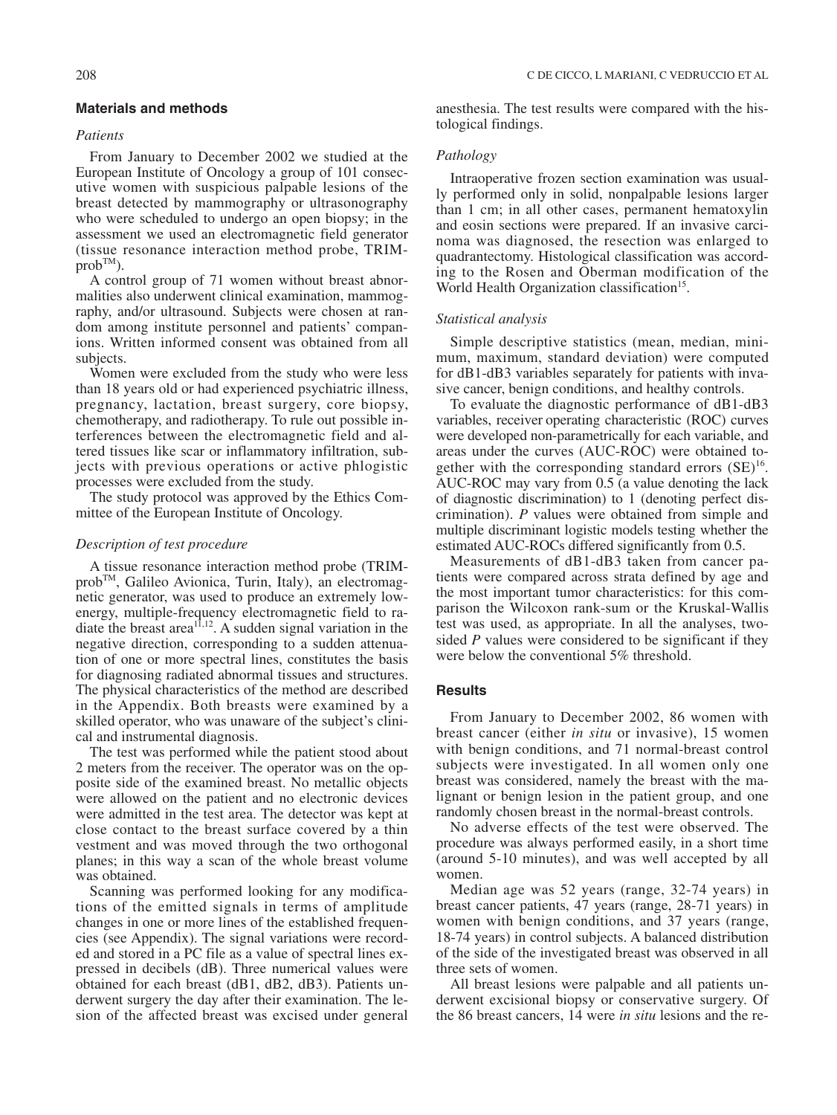# **Materials and methods**

## *Patients*

From January to December 2002 we studied at the European Institute of Oncology a group of 101 consecutive women with suspicious palpable lesions of the breast detected by mammography or ultrasonography who were scheduled to undergo an open biopsy; in the assessment we used an electromagnetic field generator (tissue resonance interaction method probe, TRIM $prob^{TM}$ ).

A control group of 71 women without breast abnormalities also underwent clinical examination, mammography, and/or ultrasound. Subjects were chosen at random among institute personnel and patients' companions. Written informed consent was obtained from all subjects.

Women were excluded from the study who were less than 18 years old or had experienced psychiatric illness, pregnancy, lactation, breast surgery, core biopsy, chemotherapy, and radiotherapy. To rule out possible interferences between the electromagnetic field and altered tissues like scar or inflammatory infiltration, subjects with previous operations or active phlogistic processes were excluded from the study.

The study protocol was approved by the Ethics Committee of the European Institute of Oncology.

# *Description of test procedure*

A tissue resonance interaction method probe (TRIMprobTM, Galileo Avionica, Turin, Italy), an electromagnetic generator, was used to produce an extremely lowenergy, multiple-frequency electromagnetic field to radiate the breast area<sup> $11,12$ </sup>. A sudden signal variation in the negative direction, corresponding to a sudden attenuation of one or more spectral lines, constitutes the basis for diagnosing radiated abnormal tissues and structures. The physical characteristics of the method are described in the Appendix. Both breasts were examined by a skilled operator, who was unaware of the subject's clinical and instrumental diagnosis.

The test was performed while the patient stood about 2 meters from the receiver. The operator was on the opposite side of the examined breast. No metallic objects were allowed on the patient and no electronic devices were admitted in the test area. The detector was kept at close contact to the breast surface covered by a thin vestment and was moved through the two orthogonal planes; in this way a scan of the whole breast volume was obtained.

Scanning was performed looking for any modifications of the emitted signals in terms of amplitude changes in one or more lines of the established frequencies (see Appendix). The signal variations were recorded and stored in a PC file as a value of spectral lines expressed in decibels (dB). Three numerical values were obtained for each breast (dB1, dB2, dB3). Patients underwent surgery the day after their examination. The lesion of the affected breast was excised under general anesthesia. The test results were compared with the histological findings.

## *Pathology*

Intraoperative frozen section examination was usually performed only in solid, nonpalpable lesions larger than 1 cm; in all other cases, permanent hematoxylin and eosin sections were prepared. If an invasive carcinoma was diagnosed, the resection was enlarged to quadrantectomy. Histological classification was according to the Rosen and Oberman modification of the World Health Organization classification<sup>15</sup>.

#### *Statistical analysis*

Simple descriptive statistics (mean, median, minimum, maximum, standard deviation) were computed for dB1-dB3 variables separately for patients with invasive cancer, benign conditions, and healthy controls.

To evaluate the diagnostic performance of dB1-dB3 variables, receiver operating characteristic (ROC) curves were developed non-parametrically for each variable, and areas under the curves (AUC-ROC) were obtained together with the corresponding standard errors  $(SE)^{16}$ . AUC-ROC may vary from 0.5 (a value denoting the lack of diagnostic discrimination) to 1 (denoting perfect discrimination). *P* values were obtained from simple and multiple discriminant logistic models testing whether the estimated AUC-ROCs differed significantly from 0.5.

Measurements of dB1-dB3 taken from cancer patients were compared across strata defined by age and the most important tumor characteristics: for this comparison the Wilcoxon rank-sum or the Kruskal-Wallis test was used, as appropriate. In all the analyses, twosided *P* values were considered to be significant if they were below the conventional 5% threshold.

## **Results**

From January to December 2002, 86 women with breast cancer (either *in situ* or invasive), 15 women with benign conditions, and 71 normal-breast control subjects were investigated. In all women only one breast was considered, namely the breast with the malignant or benign lesion in the patient group, and one randomly chosen breast in the normal-breast controls.

No adverse effects of the test were observed. The procedure was always performed easily, in a short time (around 5-10 minutes), and was well accepted by all women.

Median age was 52 years (range, 32-74 years) in breast cancer patients, 47 years (range, 28-71 years) in women with benign conditions, and 37 years (range, 18-74 years) in control subjects. A balanced distribution of the side of the investigated breast was observed in all three sets of women.

All breast lesions were palpable and all patients underwent excisional biopsy or conservative surgery. Of the 86 breast cancers, 14 were *in situ* lesions and the re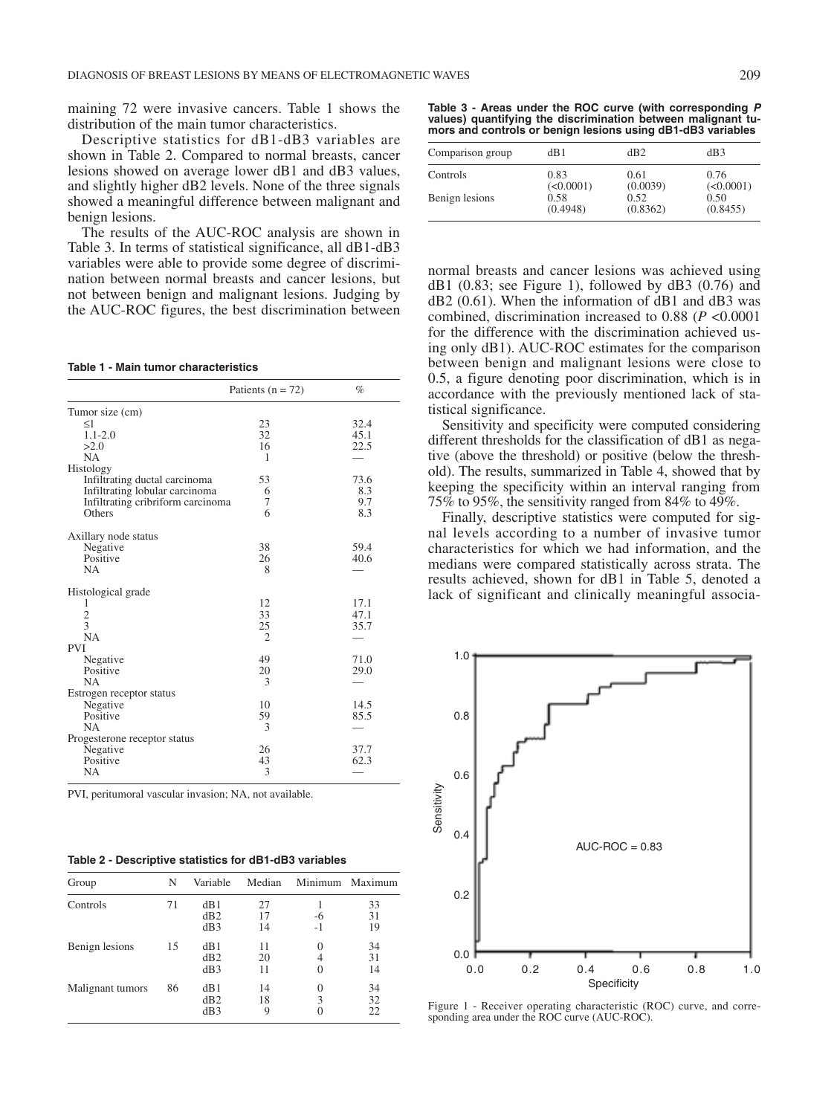maining 72 were invasive cancers. Table 1 shows the distribution of the main tumor characteristics.

Descriptive statistics for dB1-dB3 variables are shown in Table 2. Compared to normal breasts, cancer lesions showed on average lower dB1 and dB3 values, and slightly higher dB2 levels. None of the three signals showed a meaningful difference between malignant and benign lesions.

The results of the AUC-ROC analysis are shown in Table 3. In terms of statistical significance, all dB1-dB3 variables were able to provide some degree of discrimination between normal breasts and cancer lesions, but not between benign and malignant lesions. Judging by the AUC-ROC figures, the best discrimination between

**Table 1 - Main tumor characteristics**

|                                   | Patients ( $n = 72$ ) | $\%$ |
|-----------------------------------|-----------------------|------|
| Tumor size (cm)                   |                       |      |
| $\leq$ 1                          | 23                    | 32.4 |
| $1.1 - 2.0$                       | 32                    | 45.1 |
| >2.0                              | 16                    | 22.5 |
| <b>NA</b>                         | 1                     |      |
| Histology                         |                       |      |
| Infiltrating ductal carcinoma     | 53                    | 73.6 |
| Infiltrating lobular carcinoma    | 6                     | 8.3  |
| Infiltrating cribriform carcinoma | 7                     | 9.7  |
| Others                            | 6                     | 8.3  |
| Axillary node status              |                       |      |
| Negative                          | 38                    | 59.4 |
| Positive                          | 26                    | 40.6 |
| NA.                               | 8                     |      |
| Histological grade                |                       |      |
| 1                                 | 12                    | 17.1 |
| $\overline{c}$                    | 33                    | 47.1 |
| $\overline{3}$                    | 25                    | 35.7 |
| <b>NA</b>                         | $\overline{c}$        |      |
| <b>PVI</b>                        |                       |      |
| Negative                          | 49                    | 71.0 |
| Positive                          | 20                    | 29.0 |
| <b>NA</b>                         | 3                     |      |
| Estrogen receptor status          |                       |      |
| Negative                          | 10                    | 14.5 |
| Positive                          | 59                    | 85.5 |
| <b>NA</b>                         | 3                     |      |
| Progesterone receptor status      |                       |      |
| Negative                          | 26                    | 37.7 |
| Positive                          | 43                    | 62.3 |
| <b>NA</b>                         | 3                     |      |

PVI, peritumoral vascular invasion; NA, not available.

|  | Table 2 - Descriptive statistics for dB1-dB3 variables |  |  |  |  |
|--|--------------------------------------------------------|--|--|--|--|
|--|--------------------------------------------------------|--|--|--|--|

| Group            | N  | Variable          | Median         |                           | Minimum Maximum |
|------------------|----|-------------------|----------------|---------------------------|-----------------|
| Controls         | 71 | dB1<br>dB2<br>dB3 | 27<br>17<br>14 | -6<br>$-1$                | 33<br>31<br>19  |
| Benign lesions   | 15 | dB1<br>dB2<br>dB3 | 11<br>20<br>11 | $\Omega$<br>4<br>$\Omega$ | 34<br>31<br>14  |
| Malignant tumors | 86 | dB1<br>dB2<br>dB3 | 14<br>18<br>9  | $\Omega$<br>3<br>$\Omega$ | 34<br>32<br>22  |

**Table 3 - Areas under the ROC curve (with corresponding P values) quantifying the discrimination between malignant tumors and controls or benign lesions using dB1-dB3 variables**

| Comparison group | dB1       | dB2      | dB3       |
|------------------|-----------|----------|-----------|
| Controls         | 0.83      | 0.61     | 0.76      |
|                  | (<0.0001) | (0.0039) | (<0.0001) |
| Benign lesions   | 0.58      | 0.52     | 0.50      |
|                  | (0.4948)  | (0.8362) | (0.8455)  |

normal breasts and cancer lesions was achieved using  $dB1$  (0.83; see Figure 1), followed by  $dB3$  (0.76) and dB2 (0.61). When the information of dB1 and dB3 was combined, discrimination increased to 0.88 (*P* <0.0001 for the difference with the discrimination achieved using only dB1). AUC-ROC estimates for the comparison between benign and malignant lesions were close to 0.5, a figure denoting poor discrimination, which is in accordance with the previously mentioned lack of statistical significance.

Sensitivity and specificity were computed considering different thresholds for the classification of dB1 as negative (above the threshold) or positive (below the threshold). The results, summarized in Table 4, showed that by keeping the specificity within an interval ranging from 75% to 95%, the sensitivity ranged from 84% to 49%.

Finally, descriptive statistics were computed for signal levels according to a number of invasive tumor characteristics for which we had information, and the medians were compared statistically across strata. The results achieved, shown for dB1 in Table 5, denoted a lack of significant and clinically meaningful associa-



Figure 1 - Receiver operating characteristic (ROC) curve, and corresponding area under the ROC curve (AUC-ROC).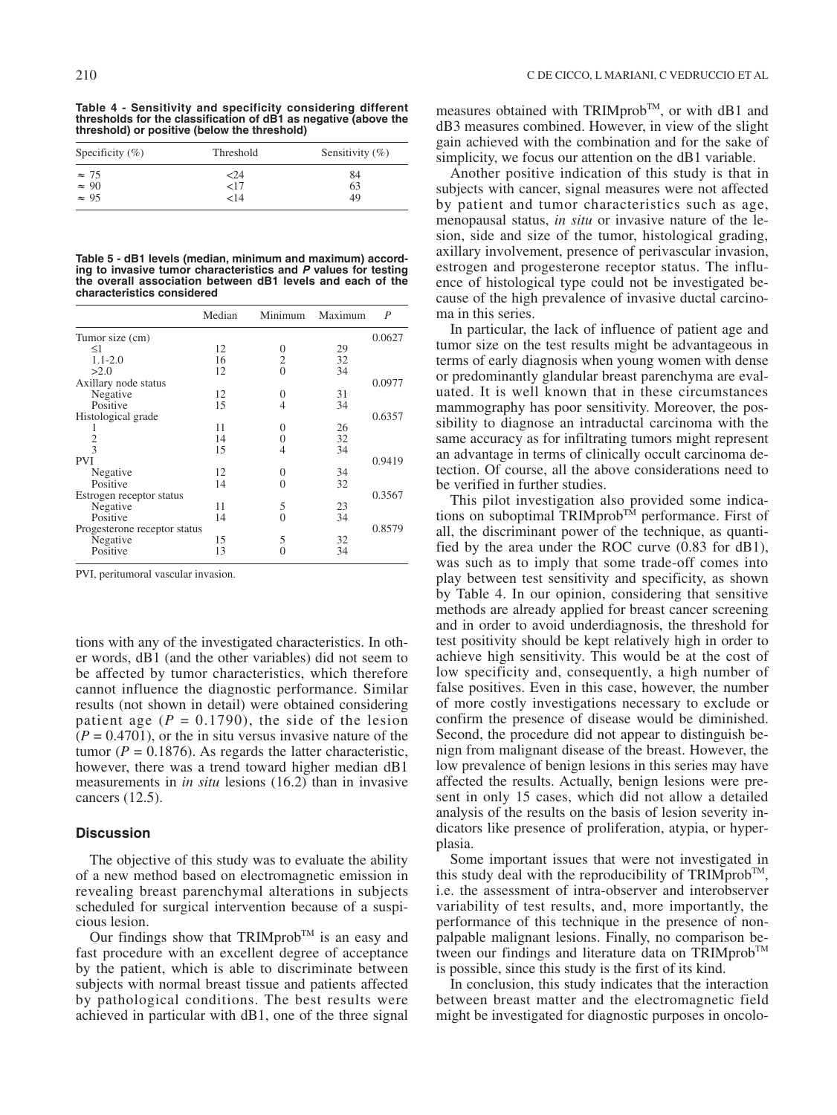**Table 4 - Sensitivity and specificity considering different thresholds for the classification of dB1 as negative (above the threshold) or positive (below the threshold)**

| Specificity $(\%)$                           | Threshold | Sensitivity $(\%)$ |
|----------------------------------------------|-----------|--------------------|
|                                              | <24       | 84                 |
| $\approx 75$<br>$\approx 90$<br>$\approx 95$ | <17       | 63                 |
|                                              | 14>       | 49                 |

**Table 5 - dB1 levels (median, minimum and maximum) according to invasive tumor characteristics and P values for testing the overall association between dB1 levels and each of the characteristics considered**

|                              | Median | Minimum  | Maximum | P      |
|------------------------------|--------|----------|---------|--------|
| Tumor size (cm)              |        |          |         | 0.0627 |
| $\leq1$                      | 12     | 0        | 29      |        |
| $1.1 - 2.0$                  | 16     | 2        | 32      |        |
| >2.0                         | 12     | $\Omega$ | 34      |        |
| Axillary node status         |        |          |         | 0.0977 |
| Negative                     | 12     | 0        | 31      |        |
| Positive                     | 15     | 4        | 34      |        |
| Histological grade           |        |          |         | 0.6357 |
|                              | 11     | 0        | 26      |        |
| $\frac{2}{3}$                | 14     | 0        | 32      |        |
|                              | 15     | 4        | 34      |        |
| <b>PVI</b>                   |        |          |         | 0.9419 |
| Negative                     | 12     | 0        | 34      |        |
| Positive                     | 14     | 0        | 32      |        |
| Estrogen receptor status     |        |          |         | 0.3567 |
| Negative                     | 11     | 5        | 23      |        |
| Positive                     | 14     | 0        | 34      |        |
| Progesterone receptor status |        |          |         | 0.8579 |
| Negative                     | 15     | 5        | 32      |        |
| Positive                     | 13     | 0        | 34      |        |

PVI, peritumoral vascular invasion.

tions with any of the investigated characteristics. In other words, dB1 (and the other variables) did not seem to be affected by tumor characteristics, which therefore cannot influence the diagnostic performance. Similar results (not shown in detail) were obtained considering patient age  $(P = 0.1790)$ , the side of the lesion  $(P = 0.4701)$ , or the in situ versus invasive nature of the tumor ( $P = 0.1876$ ). As regards the latter characteristic, however, there was a trend toward higher median dB1 measurements in *in situ* lesions (16.2) than in invasive cancers (12.5).

## **Discussion**

The objective of this study was to evaluate the ability of a new method based on electromagnetic emission in revealing breast parenchymal alterations in subjects scheduled for surgical intervention because of a suspicious lesion.

Our findings show that TRIMprob<sup>TM</sup> is an easy and fast procedure with an excellent degree of acceptance by the patient, which is able to discriminate between subjects with normal breast tissue and patients affected by pathological conditions. The best results were achieved in particular with dB1, one of the three signal measures obtained with TRIMprob™, or with dB1 and dB3 measures combined. However, in view of the slight gain achieved with the combination and for the sake of simplicity, we focus our attention on the dB1 variable.

Another positive indication of this study is that in subjects with cancer, signal measures were not affected by patient and tumor characteristics such as age, menopausal status, *in situ* or invasive nature of the lesion, side and size of the tumor, histological grading, axillary involvement, presence of perivascular invasion, estrogen and progesterone receptor status. The influence of histological type could not be investigated because of the high prevalence of invasive ductal carcinoma in this series.

In particular, the lack of influence of patient age and tumor size on the test results might be advantageous in terms of early diagnosis when young women with dense or predominantly glandular breast parenchyma are evaluated. It is well known that in these circumstances mammography has poor sensitivity. Moreover, the possibility to diagnose an intraductal carcinoma with the same accuracy as for infiltrating tumors might represent an advantage in terms of clinically occult carcinoma detection. Of course, all the above considerations need to be verified in further studies.

This pilot investigation also provided some indications on suboptimal  $TRIMprob^{TM}$  performance. First of all, the discriminant power of the technique, as quantified by the area under the ROC curve (0.83 for dB1), was such as to imply that some trade-off comes into play between test sensitivity and specificity, as shown by Table 4. In our opinion, considering that sensitive methods are already applied for breast cancer screening and in order to avoid underdiagnosis, the threshold for test positivity should be kept relatively high in order to achieve high sensitivity. This would be at the cost of low specificity and, consequently, a high number of false positives. Even in this case, however, the number of more costly investigations necessary to exclude or confirm the presence of disease would be diminished. Second, the procedure did not appear to distinguish benign from malignant disease of the breast. However, the low prevalence of benign lesions in this series may have affected the results. Actually, benign lesions were present in only 15 cases, which did not allow a detailed analysis of the results on the basis of lesion severity indicators like presence of proliferation, atypia, or hyperplasia.

Some important issues that were not investigated in this study deal with the reproducibility of TRIMprob<sup>TM</sup>, i.e. the assessment of intra-observer and interobserver variability of test results, and, more importantly, the performance of this technique in the presence of nonpalpable malignant lesions. Finally, no comparison between our findings and literature data on TRIMprob<sup>TM</sup> is possible, since this study is the first of its kind.

In conclusion, this study indicates that the interaction between breast matter and the electromagnetic field might be investigated for diagnostic purposes in oncolo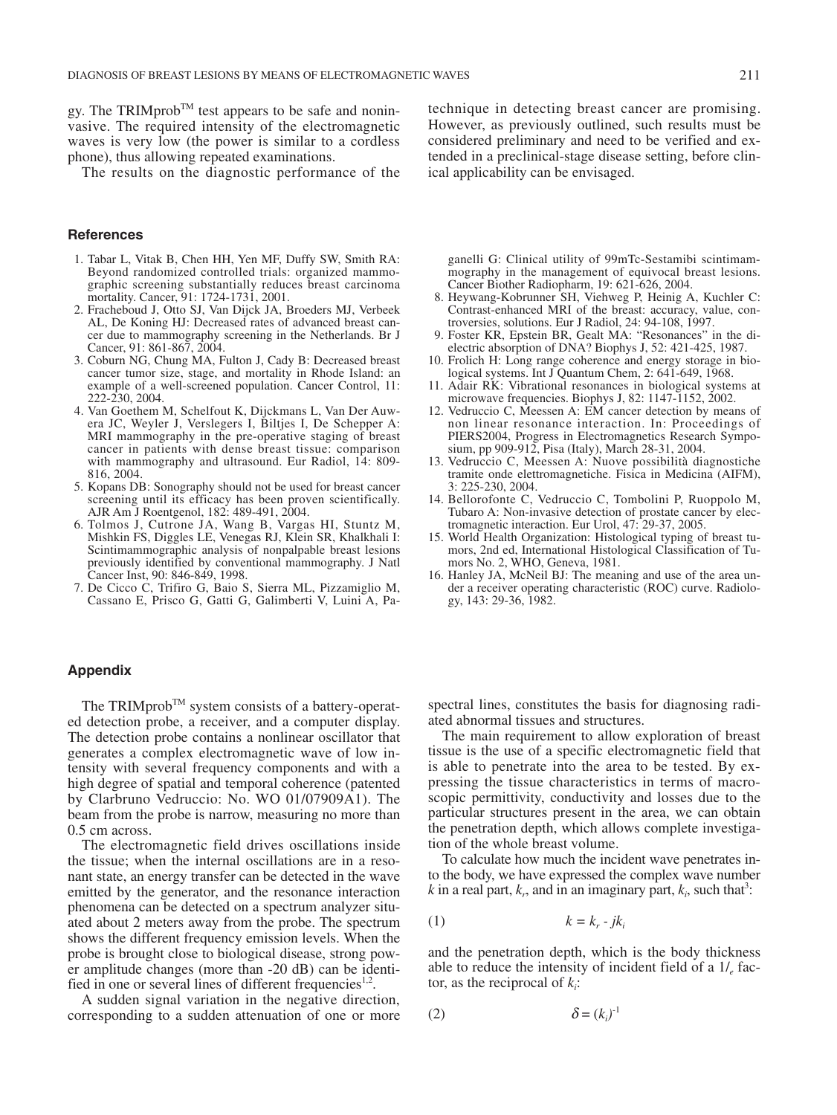gy. The TRIMprob<sup>TM</sup> test appears to be safe and noninvasive. The required intensity of the electromagnetic waves is very low (the power is similar to a cordless phone), thus allowing repeated examinations.

The results on the diagnostic performance of the

## **References**

- 1. Tabar L, Vitak B, Chen HH, Yen MF, Duffy SW, Smith RA: Beyond randomized controlled trials: organized mammographic screening substantially reduces breast carcinoma mortality. Cancer, 91: 1724-1731, 2001.
- 2. Fracheboud J, Otto SJ, Van Dijck JA, Broeders MJ, Verbeek AL, De Koning HJ: Decreased rates of advanced breast cancer due to mammography screening in the Netherlands. Br J Cancer, 91: 861-867, 2004.
- 3. Coburn NG, Chung MA, Fulton J, Cady B: Decreased breast cancer tumor size, stage, and mortality in Rhode Island: an example of a well-screened population. Cancer Control, 11: 222-230, 2004.
- 4. Van Goethem M, Schelfout K, Dijckmans L, Van Der Auwera JC, Weyler J, Verslegers I, Biltjes I, De Schepper A: MRI mammography in the pre-operative staging of breast cancer in patients with dense breast tissue: comparison with mammography and ultrasound. Eur Radiol, 14: 809-816, 2004.
- 5. Kopans DB: Sonography should not be used for breast cancer screening until its efficacy has been proven scientifically. AJR Am J Roentgenol, 182: 489-491, 2004.
- 6. Tolmos J, Cutrone JA, Wang B, Vargas HI, Stuntz M, Mishkin FS, Diggles LE, Venegas RJ, Klein SR, Khalkhali I: Scintimammographic analysis of nonpalpable breast lesions previously identified by conventional mammography. J Natl Cancer Inst, 90: 846-849, 1998.
- 7. De Cicco C, Trifiro G, Baio S, Sierra ML, Pizzamiglio M, Cassano E, Prisco G, Gatti G, Galimberti V, Luini A, Pa-

technique in detecting breast cancer are promising. However, as previously outlined, such results must be considered preliminary and need to be verified and extended in a preclinical-stage disease setting, before clinical applicability can be envisaged.

ganelli G: Clinical utility of 99mTc-Sestamibi scintimammography in the management of equivocal breast lesions. Cancer Biother Radiopharm, 19: 621-626, 2004.

- 8. Heywang-Kobrunner SH, Viehweg P, Heinig A, Kuchler C: Contrast-enhanced MRI of the breast: accuracy, value, controversies, solutions. Eur J Radiol, 24: 94-108, 1997.
- 9. Foster KR, Epstein BR, Gealt MA: "Resonances" in the dielectric absorption of DNA? Biophys J, 52: 421-425, 1987.
- 10. Frolich H: Long range coherence and energy storage in biological systems. Int J Quantum Chem, 2: 641-649, 1968.
- 11. Adair RK: Vibrational resonances in biological systems at microwave frequencies. Biophys J, 82: 1147-1152, 2002.
- 12. Vedruccio C, Meessen A: EM cancer detection by means of non linear resonance interaction. In: Proceedings of PIERS2004, Progress in Electromagnetics Research Symposium, pp 909-912, Pisa (Italy), March 28-31, 2004.
- 13. Vedruccio C, Meessen A: Nuove possibilità diagnostiche tramite onde elettromagnetiche. Fisica in Medicina (AIFM), 3: 225-230, 2004.
- 14. Bellorofonte C, Vedruccio C, Tombolini P, Ruoppolo M, Tubaro A: Non-invasive detection of prostate cancer by electromagnetic interaction. Eur Urol, 47: 29-37, 2005.
- 15. World Health Organization: Histological typing of breast tumors, 2nd ed, International Histological Classification of Tumors No. 2, WHO, Geneva, 1981.
- 16. Hanley JA, McNeil BJ: The meaning and use of the area under a receiver operating characteristic (ROC) curve. Radiology, 143: 29-36, 1982.

## **Appendix**

The TRIMprob<sup>TM</sup> system consists of a battery-operated detection probe, a receiver, and a computer display. The detection probe contains a nonlinear oscillator that generates a complex electromagnetic wave of low intensity with several frequency components and with a high degree of spatial and temporal coherence (patented by Clarbruno Vedruccio: No. WO 01/07909A1). The beam from the probe is narrow, measuring no more than 0.5 cm across.

The electromagnetic field drives oscillations inside the tissue; when the internal oscillations are in a resonant state, an energy transfer can be detected in the wave emitted by the generator, and the resonance interaction phenomena can be detected on a spectrum analyzer situated about 2 meters away from the probe. The spectrum shows the different frequency emission levels. When the probe is brought close to biological disease, strong power amplitude changes (more than -20 dB) can be identified in one or several lines of different frequencies<sup>1,2</sup>.

A sudden signal variation in the negative direction, corresponding to a sudden attenuation of one or more

spectral lines, constitutes the basis for diagnosing radiated abnormal tissues and structures.

The main requirement to allow exploration of breast tissue is the use of a specific electromagnetic field that is able to penetrate into the area to be tested. By expressing the tissue characteristics in terms of macroscopic permittivity, conductivity and losses due to the particular structures present in the area, we can obtain the penetration depth, which allows complete investigation of the whole breast volume.

To calculate how much the incident wave penetrates into the body, we have expressed the complex wave number  $k$  in a real part,  $k_r$ , and in an imaginary part,  $k_i$ , such that<sup>3</sup>:

$$
(1) \t\t k = k_r - jk_i
$$

and the penetration depth, which is the body thickness able to reduce the intensity of incident field of a 1/*<sup>e</sup>* factor, as the reciprocal of  $k_i$ :

$$
\delta = (k_i)^{-1}
$$